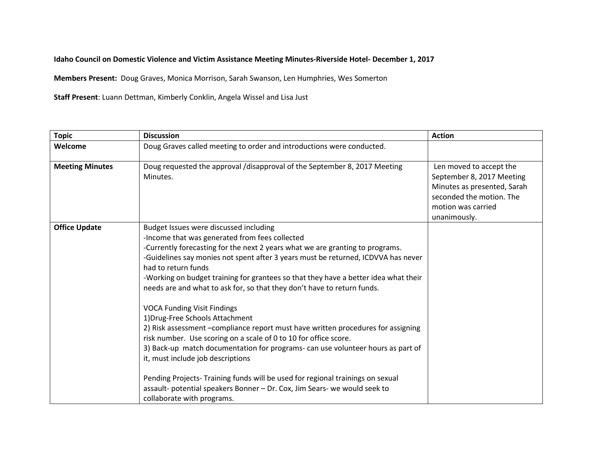**Idaho Council on Domestic Violence and Victim Assistance Meeting Minutes-Riverside Hotel- December 1, 2017** 

**Members Present:** Doug Graves, Monica Morrison, Sarah Swanson, Len Humphries, Wes Somerton

**Staff Present**: Luann Dettman, Kimberly Conklin, Angela Wissel and Lisa Just

| <b>Topic</b>           | <b>Discussion</b>                                                                                                                                                                                                                                                                                                                                                                                                                                                                                                                                                                                                                                                                                                                                                                                                                                                                                                                                                                                             | <b>Action</b>                                                                                                                                         |
|------------------------|---------------------------------------------------------------------------------------------------------------------------------------------------------------------------------------------------------------------------------------------------------------------------------------------------------------------------------------------------------------------------------------------------------------------------------------------------------------------------------------------------------------------------------------------------------------------------------------------------------------------------------------------------------------------------------------------------------------------------------------------------------------------------------------------------------------------------------------------------------------------------------------------------------------------------------------------------------------------------------------------------------------|-------------------------------------------------------------------------------------------------------------------------------------------------------|
| Welcome                | Doug Graves called meeting to order and introductions were conducted.                                                                                                                                                                                                                                                                                                                                                                                                                                                                                                                                                                                                                                                                                                                                                                                                                                                                                                                                         |                                                                                                                                                       |
| <b>Meeting Minutes</b> | Doug requested the approval /disapproval of the September 8, 2017 Meeting<br>Minutes.                                                                                                                                                                                                                                                                                                                                                                                                                                                                                                                                                                                                                                                                                                                                                                                                                                                                                                                         | Len moved to accept the<br>September 8, 2017 Meeting<br>Minutes as presented, Sarah<br>seconded the motion. The<br>motion was carried<br>unanimously. |
| <b>Office Update</b>   | Budget Issues were discussed including<br>-Income that was generated from fees collected<br>-Currently forecasting for the next 2 years what we are granting to programs.<br>-Guidelines say monies not spent after 3 years must be returned, ICDVVA has never<br>had to return funds<br>-Working on budget training for grantees so that they have a better idea what their<br>needs are and what to ask for, so that they don't have to return funds.<br><b>VOCA Funding Visit Findings</b><br>1) Drug-Free Schools Attachment<br>2) Risk assessment -compliance report must have written procedures for assigning<br>risk number. Use scoring on a scale of 0 to 10 for office score.<br>3) Back-up match documentation for programs- can use volunteer hours as part of<br>it, must include job descriptions<br>Pending Projects- Training funds will be used for regional trainings on sexual<br>assault- potential speakers Bonner - Dr. Cox, Jim Sears- we would seek to<br>collaborate with programs. |                                                                                                                                                       |